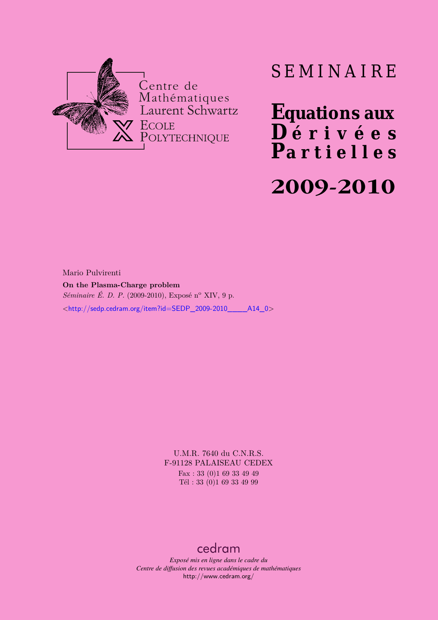

## SEMINAIRE

**Equations aux**  $\overline{\mathbf{D}}$  érivées **Partielles**

# **2009-2010**

Mario Pulvirenti **On the Plasma-Charge problem** *Séminaire É. D. P.* (2009-2010), Exposé n<sup>o</sup> XIV, 9 p. <[http://sedp.cedram.org/item?id=SEDP\\_2009-2010\\_\\_\\_\\_A14\\_0](http://sedp.cedram.org/item?id=SEDP_2009-2010____A14_0)>

> U.M.R. 7640 du C.N.R.S. F-91128 PALAISEAU CEDEX Fax : 33 (0)1 69 33 49 49 Tél : 33 (0)1 69 33 49 99

### [cedram](http://www.cedram.org/)

*Exposé mis en ligne dans le cadre du Centre de diffusion des revues académiques de mathématiques* <http://www.cedram.org/>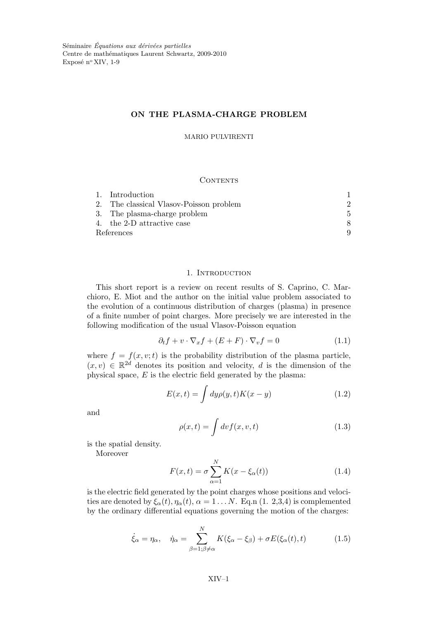#### ON THE PLASMA-CHARGE PROBLEM

MARIO PULVIRENTI

#### **CONTENTS**

| 1. Introduction                         |    |
|-----------------------------------------|----|
| 2. The classical Vlasov-Poisson problem | 2. |
| 3. The plasma-charge problem            | 5. |
| 4. the 2-D attractive case              |    |
| References                              |    |

#### 1. INTRODUCTION

This short report is a review on recent results of S. Caprino, C. Marchioro, E. Miot and the author on the initial value problem associated to the evolution of a continuous distribution of charges (plasma) in presence of a finite number of point charges. More precisely we are interested in the following modification of the usual Vlasov-Poisson equation

$$
\partial_t f + v \cdot \nabla_x f + (E + F) \cdot \nabla_v f = 0 \tag{1.1}
$$

where  $f = f(x, v; t)$  is the probability distribution of the plasma particle,  $(x, v) \in \mathbb{R}^{2d}$  denotes its position and velocity, d is the dimension of the physical space,  $E$  is the electric field generated by the plasma:

$$
E(x,t) = \int dy \rho(y,t)K(x-y)
$$
\n(1.2)

and

$$
\rho(x,t) = \int dv f(x,v,t) \tag{1.3}
$$

is the spatial density.

Moreover

$$
F(x,t) = \sigma \sum_{\alpha=1}^{N} K(x - \xi_{\alpha}(t))
$$
\n(1.4)

is the electric field generated by the point charges whose positions and velocities are denoted by  $\xi_{\alpha}(t), \eta_{\alpha}(t), \alpha = 1 \dots N$ . Eq.n (1. 2,3,4) is complemented by the ordinary differential equations governing the motion of the charges:

$$
\dot{\xi}_{\alpha} = \eta_{\alpha}, \quad \dot{\eta}_{\alpha} = \sum_{\beta=1;\beta \neq \alpha}^{N} K(\xi_{\alpha} - \xi_{\beta}) + \sigma E(\xi_{\alpha}(t), t) \tag{1.5}
$$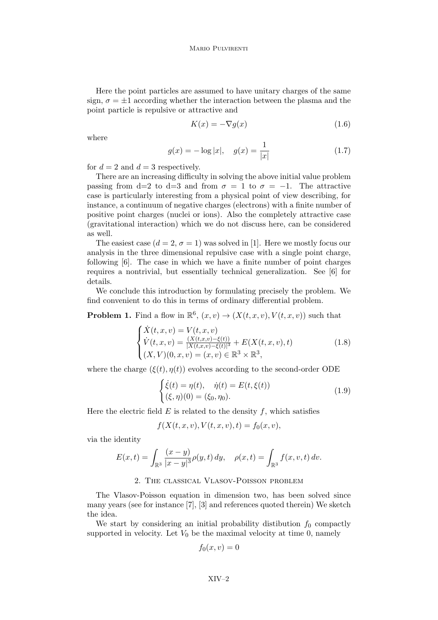Here the point particles are assumed to have unitary charges of the same sign,  $\sigma = \pm 1$  according whether the interaction between the plasma and the point particle is repulsive or attractive and

$$
K(x) = -\nabla g(x) \tag{1.6}
$$

where

$$
g(x) = -\log|x|, \quad g(x) = \frac{1}{|x|} \tag{1.7}
$$

for  $d = 2$  and  $d = 3$  respectively.

There are an increasing difficulty in solving the above initial value problem passing from d=2 to d=3 and from  $\sigma = 1$  to  $\sigma = -1$ . The attractive case is particularly interesting from a physical point of view describing, for instance, a continuum of negative charges (electrons) with a finite number of positive point charges (nuclei or ions). Also the completely attractive case (gravitational interaction) which we do not discuss here, can be considered as well.

The easiest case  $(d = 2, \sigma = 1)$  was solved in [1]. Here we mostly focus our analysis in the three dimensional repulsive case with a single point charge, following [6]. The case in which we have a finite number of point charges requires a nontrivial, but essentially technical generalization. See [6] for details.

We conclude this introduction by formulating precisely the problem. We find convenient to do this in terms of ordinary differential problem.

**Problem 1.** Find a flow in  $\mathbb{R}^6$ ,  $(x, v) \rightarrow (X(t, x, v), V(t, x, v))$  such that

$$
\begin{cases}\n\dot{X}(t,x,v) = V(t,x,v) \\
\dot{V}(t,x,v) = \frac{(X(t,x,v) - \xi(t))}{|X(t,x,v) - \xi(t)|^3} + E(X(t,x,v),t) \\
(X,V)(0,x,v) = (x,v) \in \mathbb{R}^3 \times \mathbb{R}^3,\n\end{cases}
$$
\n(1.8)

where the charge  $(\xi(t), \eta(t))$  evolves according to the second-order ODE

$$
\begin{cases}\n\dot{\xi}(t) = \eta(t), & \dot{\eta}(t) = E(t, \xi(t)) \\
(\xi, \eta)(0) = (\xi_0, \eta_0).\n\end{cases}
$$
\n(1.9)

Here the electric field  $E$  is related to the density  $f$ , which satisfies

$$
f(X(t, x, v), V(t, x, v), t) = f_0(x, v),
$$

via the identity

$$
E(x,t) = \int_{\mathbb{R}^3} \frac{(x-y)}{|x-y|^3} \rho(y,t) \, dy, \quad \rho(x,t) = \int_{\mathbb{R}^3} f(x,v,t) \, dv.
$$

#### 2. The classical Vlasov-Poisson problem

The Vlasov-Poisson equation in dimension two, has been solved since many years (see for instance [7], [3] and references quoted therein) We sketch the idea.

We start by considering an initial probability distibution  $f_0$  compactly supported in velocity. Let  $V_0$  be the maximal velocity at time 0, namely

$$
f_0(x,v)=0
$$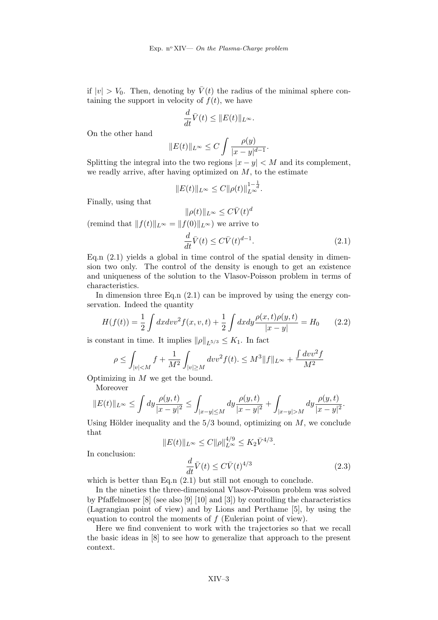if  $|v| > V_0$ . Then, denoting by  $\bar{V}(t)$  the radius of the minimal sphere containing the support in velocity of  $f(t)$ , we have

$$
\frac{d}{dt}\overline{V}(t) \leq ||E(t)||_{L^{\infty}}.
$$

On the other hand

$$
||E(t)||_{L^{\infty}} \leq C \int \frac{\rho(y)}{|x-y|^{d-1}}.
$$

Splitting the integral into the two regions  $|x - y| < M$  and its complement, we readly arrive, after having optimized on  $M$ , to the estimate

$$
||E(t)||_{L^{\infty}} \leq C||\rho(t)||_{L^{\infty}}^{1-\frac{1}{d}}.
$$

Finally, using that

$$
||\rho(t)||_{L^{\infty}} \leq C\bar{V}(t)^{d}
$$
  
(remind that  $||f(t)||_{L^{\infty}} = ||f(0)||_{L^{\infty}}$ ) we arrive to  

$$
\frac{d}{dt}\bar{V}(t) \leq C\bar{V}(t)^{d-1}.
$$
 (2.1)

Eq.n  $(2.1)$  yields a global in time control of the spatial density in dimension two only. The control of the density is enough to get an existence and uniqueness of the solution to the Vlasov-Poisson problem in terms of characteristics.

In dimension three Eq. n  $(2.1)$  can be improved by using the energy conservation. Indeed the quantity

$$
H(f(t)) = \frac{1}{2} \int dx dv v^2 f(x, v, t) + \frac{1}{2} \int dx dy \frac{\rho(x, t)\rho(y, t)}{|x - y|} = H_0 \qquad (2.2)
$$

is constant in time. It implies  $\|\rho\|_{L^{5/3}} \leq K_1$ . In fact

$$
\rho \leq \int_{|v| < M} f + \frac{1}{M^2} \int_{|v| \geq M} dv v^2 f(t). \leq M^3 \|f\|_{L^\infty} + \frac{\int dv v^2 f}{M^2}
$$

Optimizing in  $M$  we get the bound.

Moreover

$$
||E(t)||_{L^{\infty}} \leq \int dy \frac{\rho(y,t)}{|x-y|^2} \leq \int_{|x-y| \leq M} dy \frac{\rho(y,t)}{|x-y|^2} + \int_{|x-y| > M} dy \frac{\rho(y,t)}{|x-y|^2}.
$$

Using Hölder inequality and the  $5/3$  bound, optimizing on  $M$ , we conclude that

$$
||E(t)||_{L^{\infty}} \le C||\rho||_{L^{\infty}}^{4/9} \le K_2 \bar{V}^{4/3}.
$$

$$
\frac{d}{dt}\bar{V}(t) \le C\bar{V}(t)^{4/3}
$$
(2.3)

In conclusion:

which is better than Eq.n 
$$
(2.1)
$$
 but still not enough to conclude.

In the nineties the three-dimensional Vlasov-Poisson problem was solved by Pfaffelmoser [8] (see also [9] [10] and [3]) by controlling the characteristics (Lagrangian point of view) and by Lions and Perthame [5], by using the equation to control the moments of  $f$  (Eulerian point of view).

Here we find convenient to work with the trajectories so that we recall the basic ideas in [8] to see how to generalize that approach to the present context.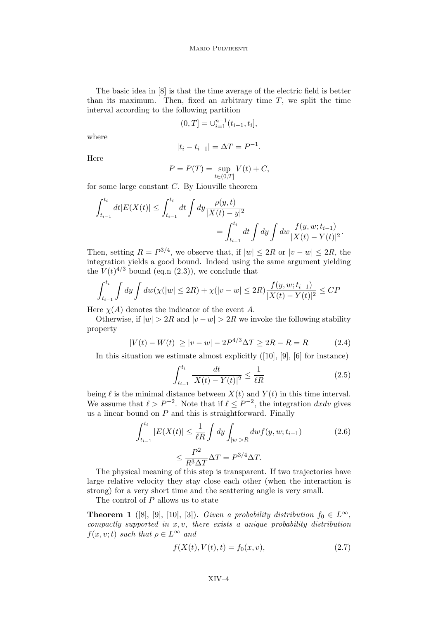The basic idea in [8] is that the time average of the electric field is better than its maximum. Then, fixed an arbitrary time  $T$ , we split the time interval according to the following partition

$$
(0,T] = \bigcup_{i=1}^{n-1} (t_{i-1}, t_i],
$$

where

$$
|t_i - t_{i-1}| = \Delta T = P^{-1}.
$$

Here

$$
P = P(T) = \sup_{t \in (0,T]} V(t) + C,
$$

for some large constant C. By Liouville theorem

$$
\int_{t_{i-1}}^{t_i} dt |E(X(t)| \le \int_{t_{i-1}}^{t_i} dt \int dy \frac{\rho(y,t)}{|X(t) - y|^2} = \int_{t_{i-1}}^{t_i} dt \int dy \int dw \frac{f(y,w;t_{i-1})}{|X(t) - Y(t)|^2}.
$$

Then, setting  $R = P^{3/4}$ , we observe that, if  $|w| \leq 2R$  or  $|v - w| \leq 2R$ , the integration yields a good bound. Indeed using the same argument yielding the  $V(t)^{4/3}$  bound (eq.n (2.3)), we conclude that

$$
\int_{t_{i-1}}^{t_i} \int dy \int dw(\chi(|w| \le 2R) + \chi(|v - w| \le 2R) \frac{f(y, w; t_{i-1})}{|X(t) - Y(t)|^2} \le CP
$$

Here  $\chi(A)$  denotes the indicator of the event A.

Otherwise, if  $|w| > 2R$  and  $|v - w| > 2R$  we invoke the following stability property

$$
|V(t) - W(t)| \ge |v - w| - 2P^{4/3}\Delta T \ge 2R - R = R \tag{2.4}
$$

In this situation we estimate almost explicitly ([10], [9], [6] for instance)

$$
\int_{t_{i-1}}^{t_i} \frac{dt}{|X(t) - Y(t)|^2} \le \frac{1}{\ell R} \tag{2.5}
$$

being  $\ell$  is the minimal distance between  $X(t)$  and  $Y(t)$  in this time interval. We assume that  $\ell > P^{-2}$ . Note that if  $\ell \leq P^{-2}$ , the integration dxdv gives us a linear bound on  $P$  and this is straightforward. Finally

$$
\int_{t_{i-1}}^{t_i} |E(X(t)| \le \frac{1}{\ell R} \int dy \int_{|w|>R} dw f(y, w; t_{i-1})
$$
\n
$$
\le \frac{P^2}{R^3 \Delta T} \Delta T = P^{3/4} \Delta T.
$$
\n(2.6)

The physical meaning of this step is transparent. If two trajectories have large relative velocity they stay close each other (when the interaction is strong) for a very short time and the scattering angle is very small.

The control of  $P$  allows us to state

**Theorem 1** ([8], [9], [10], [3]). Given a probability distribution  $f_0 \in L^{\infty}$ , compactly supported in  $x, v$ , there exists a unique probability distribution  $f(x, v; t)$  such that  $\rho \in L^{\infty}$  and

$$
f(X(t), V(t), t) = f_0(x, v),
$$
\n(2.7)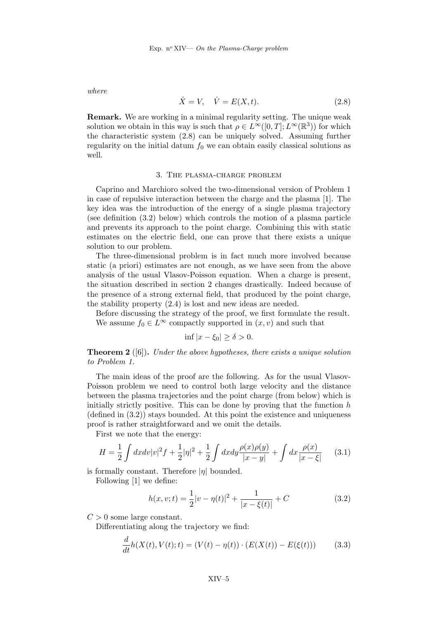where

$$
\dot{X} = V, \quad \dot{V} = E(X, t). \tag{2.8}
$$

Remark. We are working in a minimal regularity setting. The unique weak solution we obtain in this way is such that  $\rho \in L^{\infty}([0, T]; L^{\infty}(\mathbb{R}^{3}))$  for which the characteristic system (2.8) can be uniquely solved. Assuming further regularity on the initial datum  $f_0$  we can obtain easily classical solutions as well.

#### 3. The plasma-charge problem

Caprino and Marchioro solved the two-dimensional version of Problem 1 in case of repulsive interaction between the charge and the plasma [1]. The key idea was the introduction of the energy of a single plasma trajectory (see definition (3.2) below) which controls the motion of a plasma particle and prevents its approach to the point charge. Combining this with static estimates on the electric field, one can prove that there exists a unique solution to our problem.

The three-dimensional problem is in fact much more involved because static (a priori) estimates are not enough, as we have seen from the above analysis of the usual Vlasov-Poisson equation. When a charge is present, the situation described in section 2 changes drastically. Indeed because of the presence of a strong external field, that produced by the point charge, the stability property (2.4) is lost and new ideas are needed.

Before discussing the strategy of the proof, we first formulate the result. We assume  $f_0 \in L^{\infty}$  compactly supported in  $(x, v)$  and such that

$$
\inf |x - \xi_0| \ge \delta > 0.
$$

**Theorem 2** ([6]). Under the above hypotheses, there exists a unique solution to Problem 1.

The main ideas of the proof are the following. As for the usual Vlasov-Poisson problem we need to control both large velocity and the distance between the plasma trajectories and the point charge (from below) which is initially strictly positive. This can be done by proving that the function  $h$  $(\text{defined in } (3.2))$  stays bounded. At this point the existence and uniqueness proof is rather straightforward and we omit the details.

First we note that the energy:

$$
H = \frac{1}{2} \int dx dv |v|^2 f + \frac{1}{2} |\eta|^2 + \frac{1}{2} \int dx dy \frac{\rho(x)\rho(y)}{|x-y|} + \int dx \frac{\rho(x)}{|x-\xi|} \tag{3.1}
$$

is formally constant. Therefore  $|\eta|$  bounded.

Following [1] we define:

$$
h(x, v; t) = \frac{1}{2}|v - \eta(t)|^2 + \frac{1}{|x - \xi(t)|} + C
$$
 (3.2)

 $C > 0$  some large constant.

Differentiating along the trajectory we find:

$$
\frac{d}{dt}h(X(t), V(t); t) = (V(t) - \eta(t)) \cdot (E(X(t)) - E(\xi(t))) \tag{3.3}
$$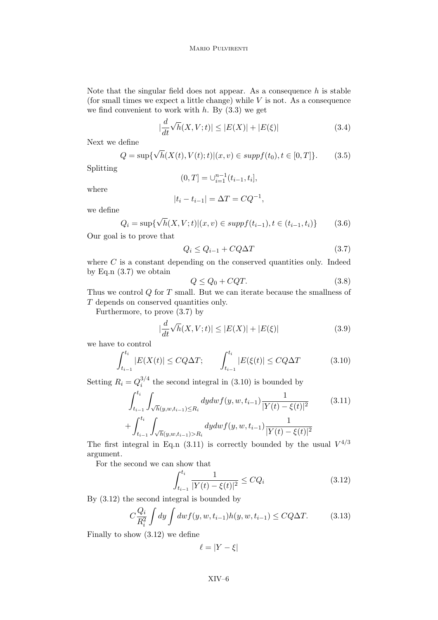Note that the singular field does not appear. As a consequence  $h$  is stable (for small times we expect a little change) while  $V$  is not. As a consequence we find convenient to work with  $h$ . By  $(3.3)$  we get

$$
|\frac{d}{dt}\sqrt{h}(X,V;t)| \le |E(X)| + |E(\xi)| \tag{3.4}
$$

Next we define

$$
Q = \sup \{ \sqrt{h}(X(t), V(t); t) | (x, v) \in \text{supp}(t_0), t \in [0, T] \}. \tag{3.5}
$$

Splitting

$$
(0,T] = \bigcup_{i=1}^{n-1} (t_{i-1}, t_i],
$$

where

$$
|t_i - t_{i-1}| = \Delta T = CQ^{-1},
$$

we define

$$
Q_i = \sup \{ \sqrt{h}(X, V; t) | (x, v) \in \text{supp} f(t_{i-1}), t \in (t_{i-1}, t_i) \}
$$
(3.6)

Our goal is to prove that

$$
Q_i \le Q_{i-1} + CQ\Delta T \tag{3.7}
$$

where  $C$  is a constant depending on the conserved quantities only. Indeed by Eq.  $(3.7)$  we obtain

$$
Q \le Q_0 + CQT.\tag{3.8}
$$

Thus we control Q for T small. But we can iterate because the smallness of T depends on conserved quantities only.

Furthermore, to prove (3.7) by

$$
\left|\frac{d}{dt}\sqrt{h}(X,V;t)\right| \le |E(X)| + |E(\xi)|\tag{3.9}
$$

we have to control

$$
\int_{t_{i-1}}^{t_i} |E(X(t)| \le CQ\Delta T; \qquad \int_{t_{i-1}}^{t_i} |E(\xi(t)| \le CQ\Delta T \tag{3.10}
$$

Setting  $R_i = Q_i^{3/4}$  $i^{3/4}$  the second integral in (3.10) is bounded by

$$
\int_{t_{i-1}}^{t_i} \int_{\sqrt{h}(y,w,t_{i-1}) \le R_i} dy dw f(y,w,t_{i-1}) \frac{1}{|Y(t) - \xi(t)|^2} \tag{3.11}
$$
\n
$$
+ \int_{t_{i-1}}^{t_i} \int_{\sqrt{h}(y,w,t_{i-1}) > R_i} dy dw f(y,w,t_{i-1}) \frac{1}{|Y(t) - \xi(t)|^2}
$$

The first integral in Eq.n (3.11) is correctly bounded by the usual  $V^{4/3}$ argument.

For the second we can show that

$$
\int_{t_{i-1}}^{t_i} \frac{1}{|Y(t) - \xi(t)|^2} \le CQ_i
$$
\n(3.12)

By (3.12) the second integral is bounded by

$$
C\frac{Q_i}{R_i^2} \int dy \int dw f(y, w, t_{i-1}) h(y, w, t_{i-1}) \le CQ\Delta T.
$$
 (3.13)

Finally to show (3.12) we define

$$
\ell = |Y - \xi|
$$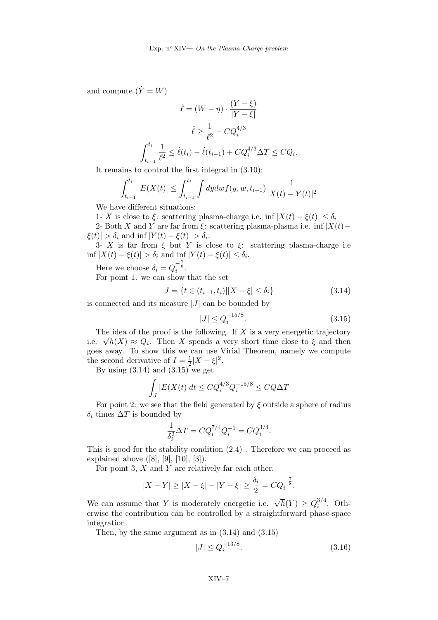and compute  $(\dot{Y} = W)$ 

$$
\dot{\ell} = (W - \eta) \cdot \frac{(Y - \xi)}{|Y - \xi|}
$$

$$
\ddot{\ell} \ge \frac{1}{\ell^2} - CQ_i^{4/3}
$$

$$
\int_{t_{i-1}}^{t_i} \frac{1}{\ell^2} \le \dot{\ell}(t_i) - \dot{\ell}(t_{i-1}) + CQ_i^{4/3} \Delta T \le CQ_i.
$$

It remains to control the first integral in (3.10):

$$
\int_{t_{i-1}}^{t_i} |E(X(t)| \le \int_{t_{i-1}}^{t_i} \int dy dw f(y, w, t_{i-1}) \frac{1}{|X(t) - Y(t)|^2}
$$

We have different situations:

1- X is close to  $\xi$ : scattering plasma-charge i.e. inf  $|X(t) - \xi(t)| \leq \delta_i$ 

2- Both X and Y are far from  $\xi$ : scattering plasma-plasma i.e. inf |X(t)−  $|\xi(t)| > \delta_i$  and inf  $|Y(t) - \xi(t)| > \delta_i$ .

3- X is far from  $\xi$  but Y is close to  $\xi$ : scattering plasma-charge i.e  $\inf |X(t) - \xi(t)| > \delta_i$  and  $\inf_{\tau} |Y(t) - \xi(t)| \leq \delta_i$ .

Here we choose  $\delta_i = Q_i^{-\frac{7}{8}}$ .

For point 1. we can show that the set

$$
J = \{ t \in (t_{i-1}, t_i) | |X - \xi| \le \delta_i \}
$$
\n(3.14)

is connected and its measure  $|J|$  can be bounded by

$$
|J| \le Q_i^{-15/8}.\tag{3.15}
$$

The idea of the proof is the following. If  $X$  is a very energetic trajectory i.e.  $\sqrt{h}(X) \approx Q_i$ . Then X spends a very short time close to  $\xi$  and then goes away. To show this we can use Virial Theorem, namely we compute the second derivative of  $I=\frac{1}{2}$  $\frac{1}{2}|X-\xi|^2$ .

By using  $(3.14)$  and  $(3.15)$  we get

$$
\int_J |E(X(t)|dt \le CQ_i^{4/3}Q_i^{-15/8} \le CQ\Delta T
$$

For point 2: we see that the field generated by  $\xi$  outside a sphere of radius  $\delta_i$  times  $\Delta T$  is bounded by

$$
\frac{1}{\delta_i^2} \Delta T = C Q_i^{7/4} Q_i^{-1} = C Q_i^{3/4}.
$$

This is good for the stability condition (2.4) . Therefore we can proceed as explained above  $([8], [9], [10], [3]).$ 

For point 3,  $X$  and  $Y$  are relatively far each other.

$$
|X - Y| \ge |X - \xi| - |Y - \xi| \ge \frac{\delta_i}{2} = CQ_i^{-\frac{7}{8}}.
$$

We can assume that Y is moderately energetic i.e.  $\sqrt{h}(Y) \ge Q_i^{3/4}$  $i^{(1)}$ . Otherwise the contribution can be controlled by a straightforward phase-space integration.

Then, by the same argument as in (3.14) and (3.15)

$$
|J| \le Q_i^{-13/8}.\tag{3.16}
$$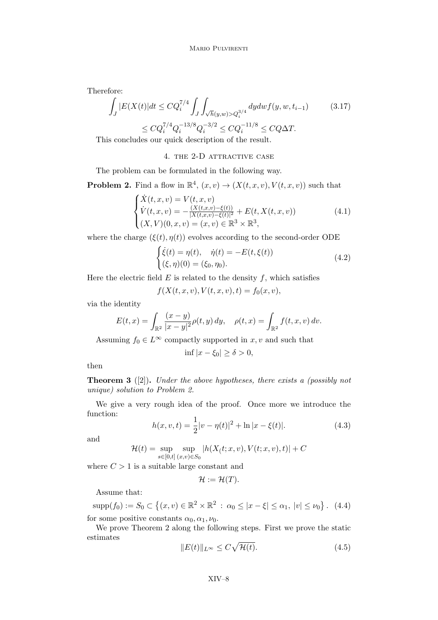Therefore:

$$
\int_{J} |E(X(t)|dt \le CQ_i^{7/4} \int_{J} \int_{\sqrt{h}(y,w) > Q_i^{3/4}} dy dw f(y, w, t_{i-1})
$$
\n
$$
\le CQ_i^{7/4} Q_i^{-13/8} Q_i^{-3/2} \le CQ_i^{-11/8} \le CQ\Delta T.
$$
\n(3.17)

This concludes our quick description of the result.

4. THE 2-D ATTRACTIVE CASE

The problem can be formulated in the following way.

**Problem 2.** Find a flow in  $\mathbb{R}^4$ ,  $(x, v) \rightarrow (X(t, x, v), V(t, x, v))$  such that

$$
\begin{cases}\n\dot{X}(t,x,v) = V(t,x,v) \\
\dot{V}(t,x,v) = -\frac{(X(t,x,v) - \xi(t))}{|X(t,x,v) - \xi(t)|^2} + E(t, X(t,x,v)) \\
(X,V)(0,x,v) = (x,v) \in \mathbb{R}^3 \times \mathbb{R}^3,\n\end{cases}
$$
\n(4.1)

where the charge  $(\xi(t), \eta(t))$  evolves according to the second-order ODE

$$
\begin{cases}\n\dot{\xi}(t) = \eta(t), & \dot{\eta}(t) = -E(t, \xi(t)) \\
(\xi, \eta)(0) = (\xi_0, \eta_0).\n\end{cases}
$$
\n(4.2)

Here the electric field  $E$  is related to the density  $f$ , which satisfies

$$
f(X(t, x, v), V(t, x, v), t) = f_0(x, v),
$$

via the identity

$$
E(t,x) = \int_{\mathbb{R}^2} \frac{(x-y)}{|x-y|^2} \rho(t,y) \, dy, \quad \rho(t,x) = \int_{\mathbb{R}^2} f(t,x,v) \, dv.
$$

Assuming  $f_0 \in L^{\infty}$  compactly supported in  $x, v$  and such that

$$
\inf |x - \xi_0| \ge \delta > 0,
$$

then

**Theorem 3** ([2]). Under the above hypotheses, there exists a (possibly not unique) solution to Problem 2.

We give a very rough idea of the proof. Once more we introduce the function:

$$
h(x, v, t) = \frac{1}{2}|v - \eta(t)|^2 + \ln|x - \xi(t)|.
$$
 (4.3)

and

$$
\mathcal{H}(t)=\sup_{s\in[0,t]} \sup_{(x,v)\in S_0} |h(X_(t;x,v),V(t;x,v),t)|+C
$$

where  $C > 1$  is a suitable large constant and

$$
\mathcal{H}:=\mathcal{H}(T).
$$

Assume that:

$$
\text{supp}(f_0) := S_0 \subset \left\{ (x, v) \in \mathbb{R}^2 \times \mathbb{R}^2 \, : \, \alpha_0 \le |x - \xi| \le \alpha_1, \, |v| \le \nu_0 \right\}. \tag{4.4}
$$

for some positive constants  $\alpha_0, \alpha_1, \nu_0$ .

We prove Theorem 2 along the following steps. First we prove the static estimates

$$
||E(t)||_{L^{\infty}} \leq C\sqrt{\mathcal{H}(t)}.\tag{4.5}
$$